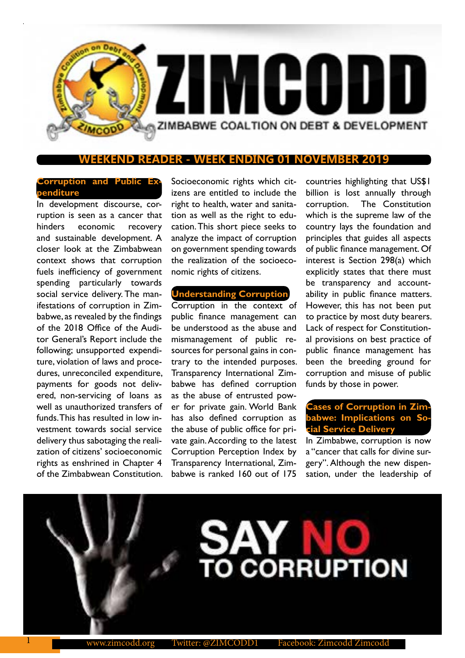

## **ENDING 01 NOVEMBER**

# **Corruption and Public Expenditure**

In development discourse, corruption is seen as a cancer that hinders economic recovery and sustainable development. A closer look at the Zimbabwean context shows that corruption fuels inefficiency of government spending particularly towards social service delivery. The manifestations of corruption in Zimbabwe, as revealed by the findings of the 2018 Office of the Auditor General's Report include the following; unsupported expenditure, violation of laws and procedures, unreconciled expenditure, payments for goods not delivered, non-servicing of loans as well as unauthorized transfers of funds. This has resulted in low investment towards social service delivery thus sabotaging the realization of citizens' socioeconomic rights as enshrined in Chapter 4 of the Zimbabwean Constitution.

Socioeconomic rights which citizens are entitled to include the right to health, water and sanitation as well as the right to education. This short piece seeks to analyze the impact of corruption on government spending towards the realization of the socioeconomic rights of citizens.

## **Understanding Corruption**

Corruption in the context of public finance management can be understood as the abuse and mismanagement of public resources for personal gains in contrary to the intended purposes. Transparency International Zimbabwe has defined corruption as the abuse of entrusted power for private gain. World Bank has also defined corruption as the abuse of public office for private gain. According to the latest Corruption Perception Index by Transparency International, Zimbabwe is ranked 160 out of 175

countries highlighting that US\$1 billion is lost annually through corruption. The Constitution which is the supreme law of the country lays the foundation and principles that guides all aspects of public finance management. Of interest is Section 298(a) which explicitly states that there must be transparency and accountability in public finance matters. However, this has not been put to practice by most duty bearers. Lack of respect for Constitutional provisions on best practice of public finance management has been the breeding ground for corruption and misuse of public funds by those in power.

# **Cases of Corruption in Zim**babwe: Implications on So **cial Service Delivery**

In Zimbabwe, corruption is now a "cancer that calls for divine surgery". Although the new dispensation, under the leadership of